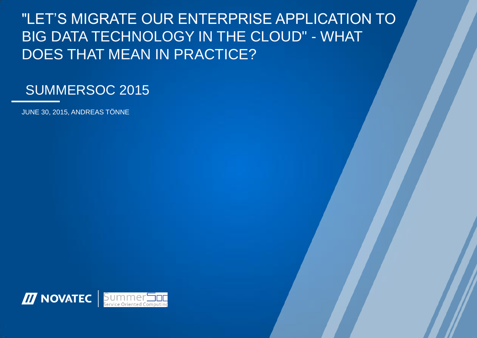# "LET'S MIGRATE OUR ENTERPRISE APPLICATION TO BIG DATA TECHNOLOGY IN THE CLOUD" - WHAT DOES THAT MEAN IN PRACTICE?

## SUMMERSOC 2015

JUNE 30, 2015, ANDREAS TÖNNE

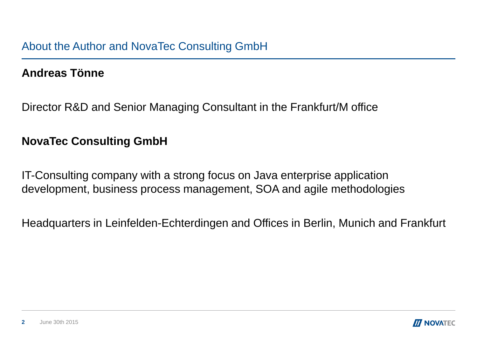## **Andreas Tönne**

Director R&D and Senior Managing Consultant in the Frankfurt/M office

## **NovaTec Consulting GmbH**

IT-Consulting company with a strong focus on Java enterprise application development, business process management, SOA and agile methodologies

Headquarters in Leinfelden-Echterdingen and Offices in Berlin, Munich and Frankfurt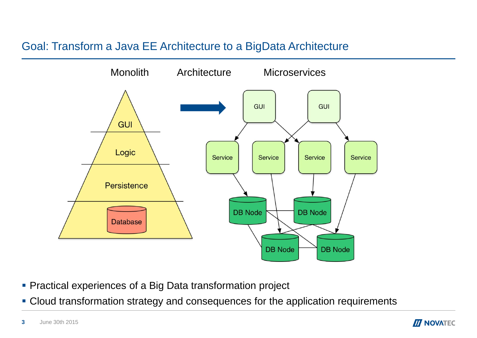## Goal: Transform a Java EE Architecture to a BigData Architecture



- **Practical experiences of a Big Data transformation project**
- Cloud transformation strategy and consequences for the application requirements

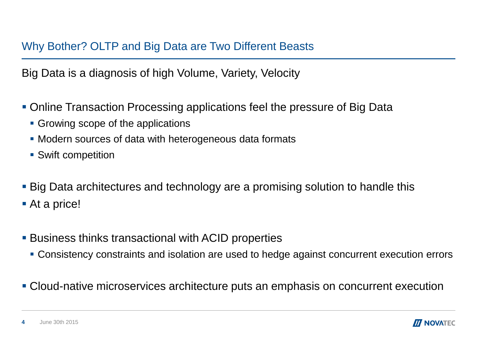## Why Bother? OLTP and Big Data are Two Different Beasts

Big Data is a diagnosis of high Volume, Variety, Velocity

- Online Transaction Processing applications feel the pressure of Big Data
	- **Growing scope of the applications**
	- **Modern sources of data with heterogeneous data formats**
	- Swift competition
- Big Data architectures and technology are a promising solution to handle this
- At a price!
- **Business thinks transactional with ACID properties** 
	- Consistency constraints and isolation are used to hedge against concurrent execution errors
- Cloud-native microservices architecture puts an emphasis on concurrent execution

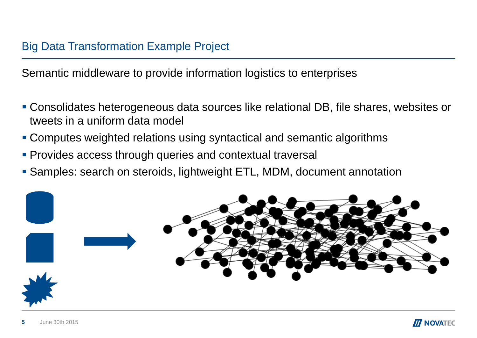Semantic middleware to provide information logistics to enterprises

- Consolidates heterogeneous data sources like relational DB, file shares, websites or tweets in a uniform data model
- Computes weighted relations using syntactical and semantic algorithms
- **Provides access through queries and contextual traversal**
- Samples: search on steroids, lightweight ETL, MDM, document annotation

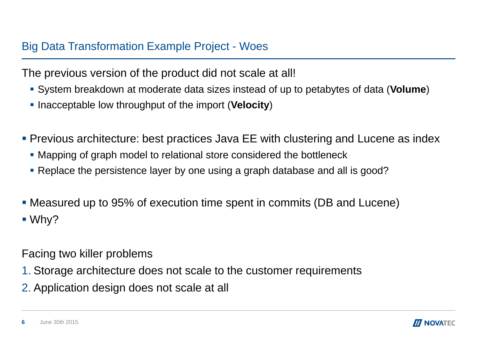## Big Data Transformation Example Project - Woes

The previous version of the product did not scale at all!

- System breakdown at moderate data sizes instead of up to petabytes of data (**Volume**)
- **-** Inacceptable low throughput of the import (**Velocity**)
- **Previous architecture: best practices Java EE with clustering and Lucene as index** 
	- Mapping of graph model to relational store considered the bottleneck
	- Replace the persistence layer by one using a graph database and all is good?
- Measured up to 95% of execution time spent in commits (DB and Lucene)  $\blacksquare$  Why?

Facing two killer problems

- 1. Storage architecture does not scale to the customer requirements
- 2. Application design does not scale at all

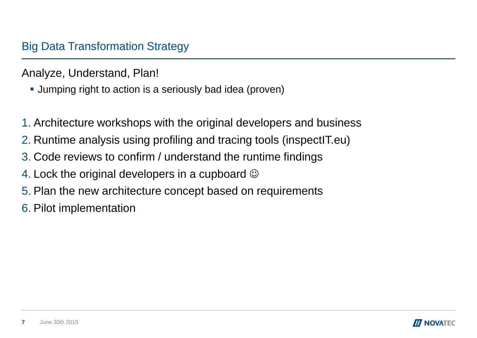Analyze, Understand, Plan!

- **Jumping right to action is a seriously bad idea (proven)**
- 1. Architecture workshops with the original developers and business
- 2. Runtime analysis using profiling and tracing tools (inspectIT.eu)
- 3. Code reviews to confirm / understand the runtime findings
- 4. Lock the original developers in a cupboard  $\odot$
- 5. Plan the new architecture concept based on requirements
- 6. Pilot implementation

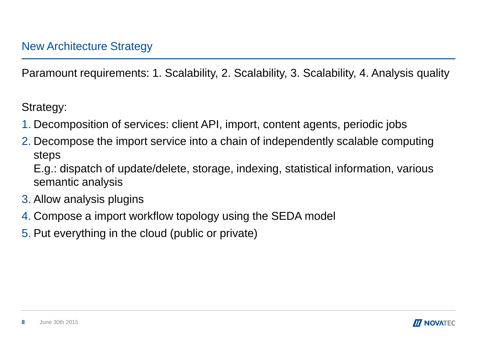Paramount requirements: 1. Scalability, 2. Scalability, 3. Scalability, 4. Analysis quality

Strategy:

- 1. Decomposition of services: client API, import, content agents, periodic jobs
- 2. Decompose the import service into a chain of independently scalable computing steps

E.g.: dispatch of update/delete, storage, indexing, statistical information, various semantic analysis

- 3. Allow analysis plugins
- 4. Compose a import workflow topology using the SEDA model
- 5. Put everything in the cloud (public or private)

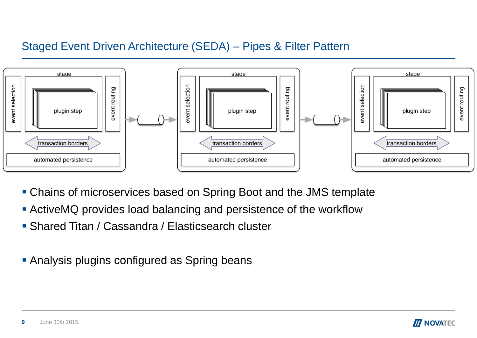## Staged Event Driven Architecture (SEDA) – Pipes & Filter Pattern



- Chains of microservices based on Spring Boot and the JMS template
- ActiveMQ provides load balancing and persistence of the workflow
- Shared Titan / Cassandra / Elasticsearch cluster
- **Analysis plugins configured as Spring beans**



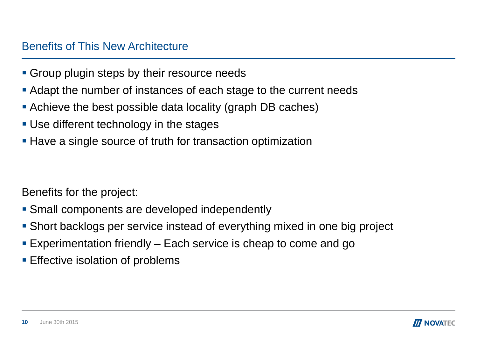#### Benefits of This New Architecture

- **Group plugin steps by their resource needs**
- Adapt the number of instances of each stage to the current needs
- Achieve the best possible data locality (graph DB caches)
- Use different technology in the stages
- **Have a single source of truth for transaction optimization**

Benefits for the project:

- **Small components are developed independently**
- Short backlogs per service instead of everything mixed in one big project
- Experimentation friendly Each service is cheap to come and go
- **Effective isolation of problems**

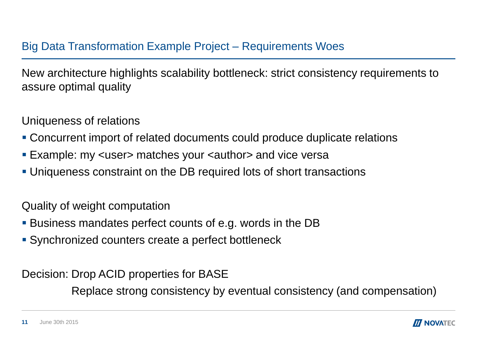## Big Data Transformation Example Project – Requirements Woes

New architecture highlights scalability bottleneck: strict consistency requirements to assure optimal quality

Uniqueness of relations

- Concurrent import of related documents could produce duplicate relations
- Example: my <user> matches your <author> and vice versa
- Uniqueness constraint on the DB required lots of short transactions

Quality of weight computation

- Business mandates perfect counts of e.g. words in the DB
- Synchronized counters create a perfect bottleneck

Decision: Drop ACID properties for BASE

Replace strong consistency by eventual consistency (and compensation)

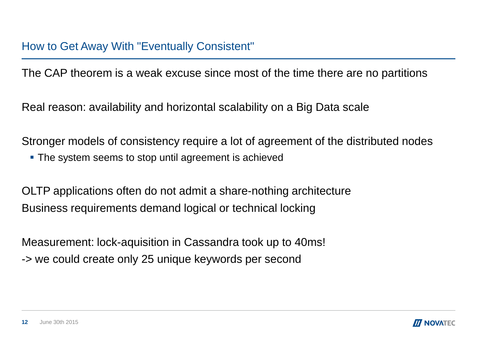The CAP theorem is a weak excuse since most of the time there are no partitions

Real reason: availability and horizontal scalability on a Big Data scale

Stronger models of consistency require a lot of agreement of the distributed nodes

The system seems to stop until agreement is achieved

OLTP applications often do not admit a share-nothing architecture Business requirements demand logical or technical locking

Measurement: lock-aquisition in Cassandra took up to 40ms! -> we could create only 25 unique keywords per second

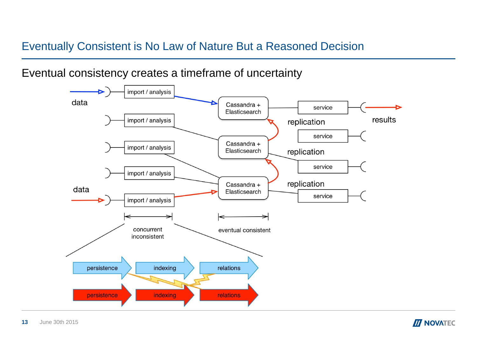## Eventually Consistent is No Law of Nature But a Reasoned Decision

#### Eventual consistency creates a timeframe of uncertainty





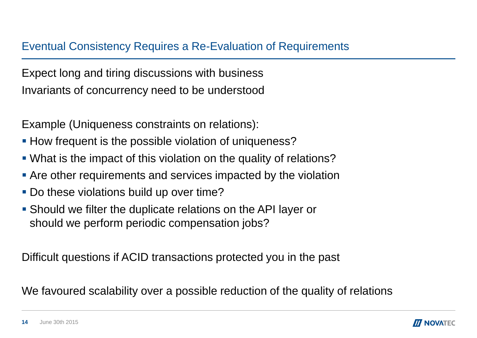## Eventual Consistency Requires a Re-Evaluation of Requirements

Expect long and tiring discussions with business Invariants of concurrency need to be understood

Example (Uniqueness constraints on relations):

- **How frequent is the possible violation of uniqueness?**
- What is the impact of this violation on the quality of relations?
- **Are other requirements and services impacted by the violation**
- **Do these violations build up over time?**
- Should we filter the duplicate relations on the API layer or should we perform periodic compensation jobs?

Difficult questions if ACID transactions protected you in the past

We favoured scalability over a possible reduction of the quality of relations

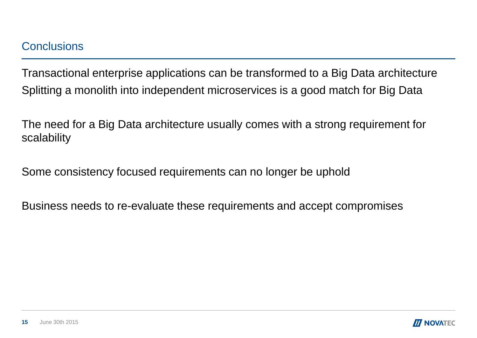Transactional enterprise applications can be transformed to a Big Data architecture Splitting a monolith into independent microservices is a good match for Big Data

The need for a Big Data architecture usually comes with a strong requirement for scalability

Some consistency focused requirements can no longer be uphold

Business needs to re-evaluate these requirements and accept compromises

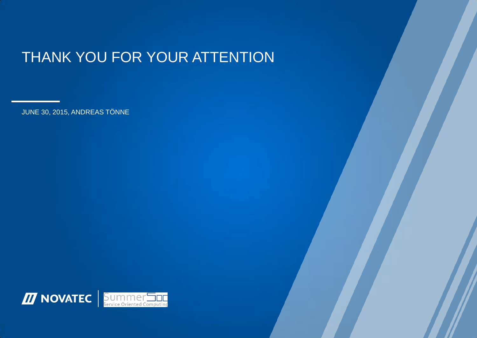# THANK YOU FOR YOUR ATTENTION

JUNE 30, 2015, ANDREAS TÖNNE

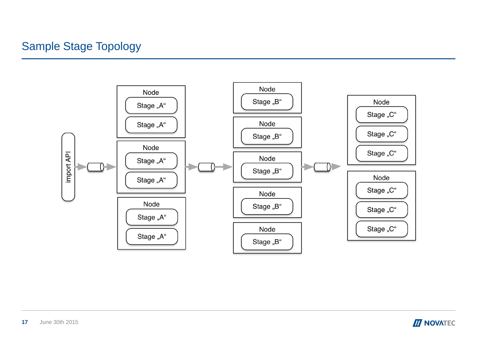## Sample Stage Topology



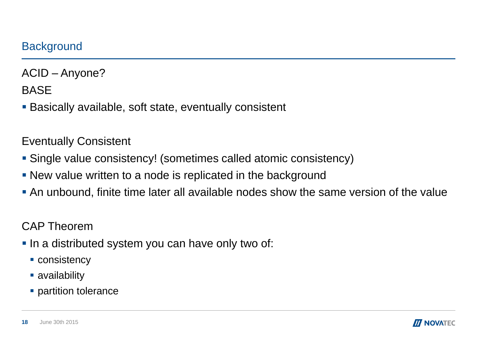ACID – Anyone?

**BASE** 

Basically available, soft state, eventually consistent

Eventually Consistent

- Single value consistency! (sometimes called atomic consistency)
- **New value written to a node is replicated in the background**
- An unbound, finite time later all available nodes show the same version of the value

CAP Theorem

- In a distributed system you can have only two of:
	- **CONSISTENCY**
	- **availability**
	- **partition tolerance**

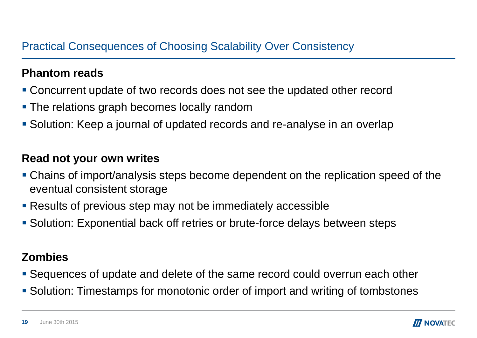## **Phantom reads**

- Concurrent update of two records does not see the updated other record
- **The relations graph becomes locally random**
- Solution: Keep a journal of updated records and re-analyse in an overlap

## **Read not your own writes**

- Chains of import/analysis steps become dependent on the replication speed of the eventual consistent storage
- **Results of previous step may not be immediately accessible**
- **Solution: Exponential back off retries or brute-force delays between steps**

## **Zombies**

- Sequences of update and delete of the same record could overrun each other
- **Solution: Timestamps for monotonic order of import and writing of tombstones**